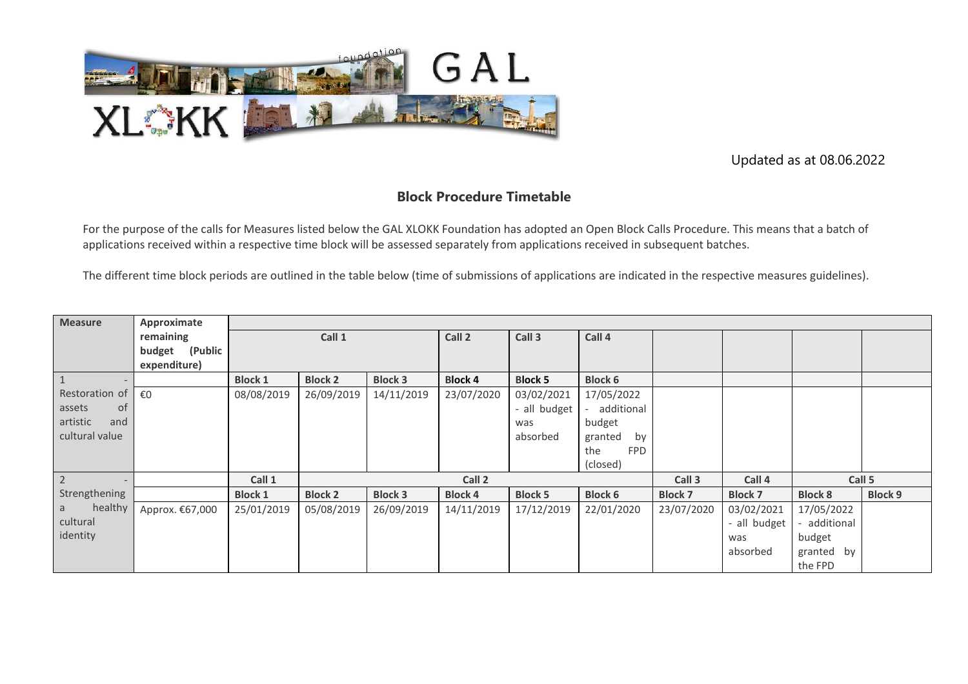

Updated as at 08.06.2022

## **Block Procedure Timetable**

For the purpose of the calls for Measures listed below the GAL XLOKK Foundation has adopted an Open Block Calls Procedure. This means that a batch of applications received within a respective time block will be assessed separately from applications received in subsequent batches.

The different time block periods are outlined in the table below (time of submissions of applications are indicated in the respective measures guidelines).

| <b>Measure</b>  | Approximate       |                |                |                |                |                |                   |                |                |                |                |
|-----------------|-------------------|----------------|----------------|----------------|----------------|----------------|-------------------|----------------|----------------|----------------|----------------|
|                 | remaining         |                | Call 1         |                | Call 2         | Call 3         | Call 4            |                |                |                |                |
|                 | (Public<br>budget |                |                |                |                |                |                   |                |                |                |                |
|                 | expenditure)      |                |                |                |                |                |                   |                |                |                |                |
| $\overline{1}$  |                   | <b>Block 1</b> | <b>Block 2</b> | <b>Block 3</b> | <b>Block 4</b> | <b>Block 5</b> | <b>Block 6</b>    |                |                |                |                |
| Restoration of  | €0                | 08/08/2019     | 26/09/2019     | 14/11/2019     | 23/07/2020     | 03/02/2021     | 17/05/2022        |                |                |                |                |
| 0f<br>assets    |                   |                |                |                |                | - all budget   | additional        |                |                |                |                |
| artistic<br>and |                   |                |                |                |                | was            | budget            |                |                |                |                |
| cultural value  |                   |                |                |                |                | absorbed       | granted<br>by     |                |                |                |                |
|                 |                   |                |                |                |                |                | <b>FPD</b><br>the |                |                |                |                |
|                 |                   |                |                |                |                |                | (closed)          |                |                |                |                |
| $\overline{2}$  |                   | Call 1         | Call 2         |                |                |                | Call 3            | Call 4         | Call 5         |                |                |
| Strengthening   |                   | <b>Block 1</b> | <b>Block 2</b> | <b>Block 3</b> | <b>Block 4</b> | <b>Block 5</b> | <b>Block 6</b>    | <b>Block 7</b> | <b>Block 7</b> | <b>Block 8</b> | <b>Block 9</b> |
| healthy<br>a    | Approx. €67,000   | 25/01/2019     | 05/08/2019     | 26/09/2019     | 14/11/2019     | 17/12/2019     | 22/01/2020        | 23/07/2020     | 03/02/2021     | 17/05/2022     |                |
| cultural        |                   |                |                |                |                |                |                   |                | - all budget   | additional     |                |
| identity        |                   |                |                |                |                |                |                   |                | was            | budget         |                |
|                 |                   |                |                |                |                |                |                   |                | absorbed       | granted by     |                |
|                 |                   |                |                |                |                |                |                   |                |                | the FPD        |                |